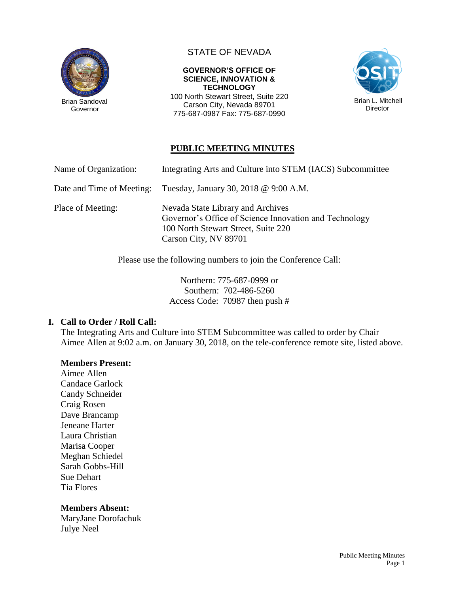

Governor

# STATE OF NEVADA

**GOVERNOR'S OFFICE OF SCIENCE, INNOVATION & TECHNOLOGY** 100 North Stewart Street, Suite 220

Carson City, Nevada 89701 775-687-0987 Fax: 775-687-0990



# **PUBLIC MEETING MINUTES**

| Name of Organization:     | Integrating Arts and Culture into STEM (IACS) Subcommittee                                                                                                  |
|---------------------------|-------------------------------------------------------------------------------------------------------------------------------------------------------------|
| Date and Time of Meeting: | Tuesday, January 30, 2018 @ 9:00 A.M.                                                                                                                       |
| Place of Meeting:         | Nevada State Library and Archives<br>Governor's Office of Science Innovation and Technology<br>100 North Stewart Street, Suite 220<br>Carson City, NV 89701 |

Please use the following numbers to join the Conference Call:

Northern: 775-687-0999 or Southern: 702-486-5260 Access Code: 70987 then push #

### **I. Call to Order / Roll Call:**

The Integrating Arts and Culture into STEM Subcommittee was called to order by Chair Aimee Allen at 9:02 a.m. on January 30, 2018, on the tele-conference remote site, listed above.

### **Members Present:**

Aimee Allen Candace Garlock Candy Schneider Craig Rosen Dave Brancamp Jeneane Harter Laura Christian Marisa Cooper Meghan Schiedel Sarah Gobbs-Hill Sue Dehart Tia Flores

### **Members Absent:**

MaryJane Dorofachuk Julye Neel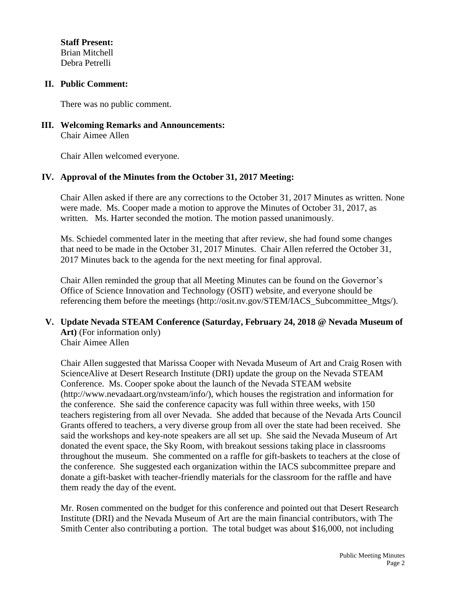**Staff Present:** Brian Mitchell Debra Petrelli

### **II. Public Comment:**

There was no public comment.

**III. Welcoming Remarks and Announcements:** Chair Aimee Allen

Chair Allen welcomed everyone.

## **IV. Approval of the Minutes from the October 31, 2017 Meeting:**

Chair Allen asked if there are any corrections to the October 31, 2017 Minutes as written. None were made. Ms. Cooper made a motion to approve the Minutes of October 31, 2017, as written. Ms. Harter seconded the motion. The motion passed unanimously.

Ms. Schiedel commented later in the meeting that after review, she had found some changes that need to be made in the October 31, 2017 Minutes. Chair Allen referred the October 31, 2017 Minutes back to the agenda for the next meeting for final approval.

Chair Allen reminded the group that all Meeting Minutes can be found on the Governor's Office of Science Innovation and Technology (OSIT) website, and everyone should be referencing them before the meetings (http://osit.nv.gov/STEM/IACS\_Subcommittee\_Mtgs/).

#### **V. Update Nevada STEAM Conference (Saturday, February 24, 2018 @ Nevada Museum of Art)** (For information only) Chair Aimee Allen

Chair Allen suggested that Marissa Cooper with Nevada Museum of Art and Craig Rosen with ScienceAlive at Desert Research Institute (DRI) update the group on the Nevada STEAM Conference. Ms. Cooper spoke about the launch of the Nevada STEAM website (http://www.nevadaart.org/nvsteam/info/), which houses the registration and information for the conference. She said the conference capacity was full within three weeks, with 150 teachers registering from all over Nevada. She added that because of the Nevada Arts Council Grants offered to teachers, a very diverse group from all over the state had been received. She said the workshops and key-note speakers are all set up. She said the Nevada Museum of Art donated the event space, the Sky Room, with breakout sessions taking place in classrooms throughout the museum. She commented on a raffle for gift-baskets to teachers at the close of the conference. She suggested each organization within the IACS subcommittee prepare and donate a gift-basket with teacher-friendly materials for the classroom for the raffle and have them ready the day of the event.

Mr. Rosen commented on the budget for this conference and pointed out that Desert Research Institute (DRI) and the Nevada Museum of Art are the main financial contributors, with The Smith Center also contributing a portion. The total budget was about \$16,000, not including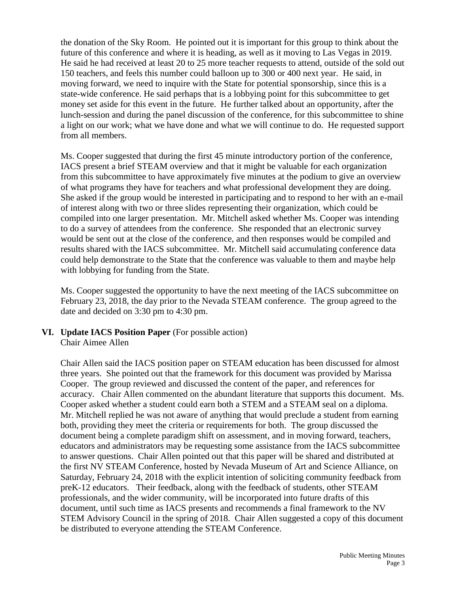the donation of the Sky Room. He pointed out it is important for this group to think about the future of this conference and where it is heading, as well as it moving to Las Vegas in 2019. He said he had received at least 20 to 25 more teacher requests to attend, outside of the sold out 150 teachers, and feels this number could balloon up to 300 or 400 next year. He said, in moving forward, we need to inquire with the State for potential sponsorship, since this is a state-wide conference. He said perhaps that is a lobbying point for this subcommittee to get money set aside for this event in the future. He further talked about an opportunity, after the lunch-session and during the panel discussion of the conference, for this subcommittee to shine a light on our work; what we have done and what we will continue to do. He requested support from all members.

Ms. Cooper suggested that during the first 45 minute introductory portion of the conference, IACS present a brief STEAM overview and that it might be valuable for each organization from this subcommittee to have approximately five minutes at the podium to give an overview of what programs they have for teachers and what professional development they are doing. She asked if the group would be interested in participating and to respond to her with an e-mail of interest along with two or three slides representing their organization, which could be compiled into one larger presentation. Mr. Mitchell asked whether Ms. Cooper was intending to do a survey of attendees from the conference. She responded that an electronic survey would be sent out at the close of the conference, and then responses would be compiled and results shared with the IACS subcommittee. Mr. Mitchell said accumulating conference data could help demonstrate to the State that the conference was valuable to them and maybe help with lobbying for funding from the State.

Ms. Cooper suggested the opportunity to have the next meeting of the IACS subcommittee on February 23, 2018, the day prior to the Nevada STEAM conference. The group agreed to the date and decided on 3:30 pm to 4:30 pm.

### **VI. Update IACS Position Paper** (For possible action) Chair Aimee Allen

Chair Allen said the IACS position paper on STEAM education has been discussed for almost three years. She pointed out that the framework for this document was provided by Marissa Cooper. The group reviewed and discussed the content of the paper, and references for accuracy. Chair Allen commented on the abundant literature that supports this document. Ms. Cooper asked whether a student could earn both a STEM and a STEAM seal on a diploma. Mr. Mitchell replied he was not aware of anything that would preclude a student from earning both, providing they meet the criteria or requirements for both. The group discussed the document being a complete paradigm shift on assessment, and in moving forward, teachers, educators and administrators may be requesting some assistance from the IACS subcommittee to answer questions. Chair Allen pointed out that this paper will be shared and distributed at the first NV STEAM Conference, hosted by Nevada Museum of Art and Science Alliance, on Saturday, February 24, 2018 with the explicit intention of soliciting community feedback from preK-12 educators. Their feedback, along with the feedback of students, other STEAM professionals, and the wider community, will be incorporated into future drafts of this document, until such time as IACS presents and recommends a final framework to the NV STEM Advisory Council in the spring of 2018. Chair Allen suggested a copy of this document be distributed to everyone attending the STEAM Conference.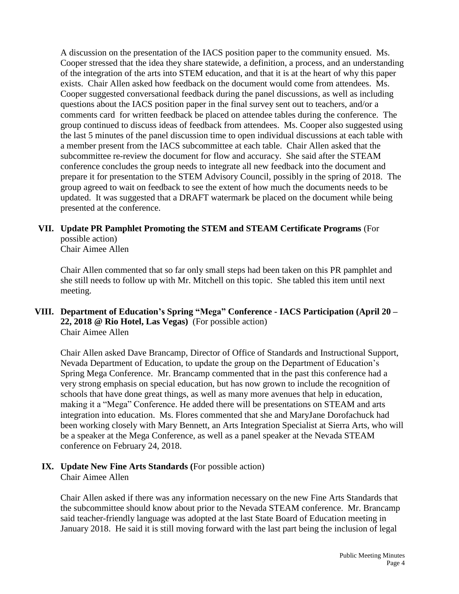A discussion on the presentation of the IACS position paper to the community ensued. Ms. Cooper stressed that the idea they share statewide, a definition, a process, and an understanding of the integration of the arts into STEM education, and that it is at the heart of why this paper exists. Chair Allen asked how feedback on the document would come from attendees. Ms. Cooper suggested conversational feedback during the panel discussions, as well as including questions about the IACS position paper in the final survey sent out to teachers, and/or a comments card for written feedback be placed on attendee tables during the conference. The group continued to discuss ideas of feedback from attendees. Ms. Cooper also suggested using the last 5 minutes of the panel discussion time to open individual discussions at each table with a member present from the IACS subcommittee at each table. Chair Allen asked that the subcommittee re-review the document for flow and accuracy. She said after the STEAM conference concludes the group needs to integrate all new feedback into the document and prepare it for presentation to the STEM Advisory Council, possibly in the spring of 2018. The group agreed to wait on feedback to see the extent of how much the documents needs to be updated. It was suggested that a DRAFT watermark be placed on the document while being presented at the conference.

# **VII. Update PR Pamphlet Promoting the STEM and STEAM Certificate Programs** (For possible action)

Chair Aimee Allen

Chair Allen commented that so far only small steps had been taken on this PR pamphlet and she still needs to follow up with Mr. Mitchell on this topic. She tabled this item until next meeting.

# **VIII. Department of Education's Spring "Mega" Conference - IACS Participation (April 20 – 22, 2018 @ Rio Hotel, Las Vegas)** (For possible action) Chair Aimee Allen

Chair Allen asked Dave Brancamp, Director of Office of Standards and Instructional Support, Nevada Department of Education, to update the group on the Department of Education's Spring Mega Conference. Mr. Brancamp commented that in the past this conference had a very strong emphasis on special education, but has now grown to include the recognition of schools that have done great things, as well as many more avenues that help in education, making it a "Mega" Conference. He added there will be presentations on STEAM and arts integration into education. Ms. Flores commented that she and MaryJane Dorofachuck had been working closely with Mary Bennett, an Arts Integration Specialist at Sierra Arts, who will be a speaker at the Mega Conference, as well as a panel speaker at the Nevada STEAM conference on February 24, 2018.

### **IX. Update New Fine Arts Standards (**For possible action) Chair Aimee Allen

Chair Allen asked if there was any information necessary on the new Fine Arts Standards that the subcommittee should know about prior to the Nevada STEAM conference. Mr. Brancamp said teacher-friendly language was adopted at the last State Board of Education meeting in January 2018. He said it is still moving forward with the last part being the inclusion of legal